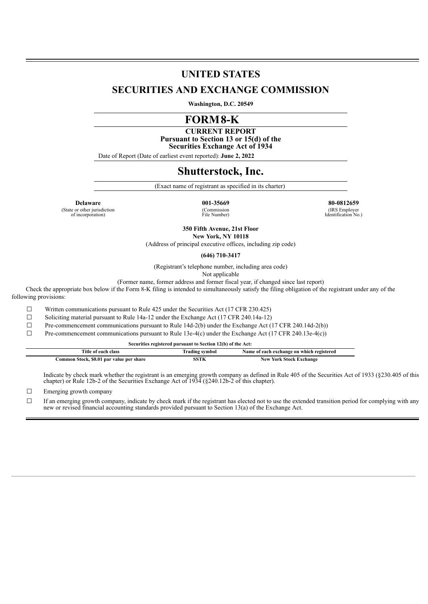# **UNITED STATES**

## **SECURITIES AND EXCHANGE COMMISSION**

**Washington, D.C. 20549**

# **FORM8-K**

**CURRENT REPORT Pursuant to Section 13 or 15(d) of the Securities Exchange Act of 1934**

Date of Report (Date of earliest event reported): **June 2, 2022**

## **Shutterstock, Inc.**

(Exact name of registrant as specified in its charter)

(State or other jurisdiction of incorporation)

(Commission File Number)

**Delaware 001-35669 80-0812659**

(IRS Employer Identification No.)

**350 Fifth Avenue, 21st Floor New York, NY 10118**

(Address of principal executive offices, including zip code)

**(646) 710-3417**

(Registrant's telephone number, including area code)

Not applicable

(Former name, former address and former fiscal year, if changed since last report)

Check the appropriate box below if the Form 8-K filing is intended to simultaneously satisfy the filing obligation of the registrant under any of the following provisions:

☐ Written communications pursuant to Rule 425 under the Securities Act (17 CFR 230.425)

☐ Soliciting material pursuant to Rule 14a-12 under the Exchange Act (17 CFR 240.14a-12)

☐ Pre-commencement communications pursuant to Rule 14d-2(b) under the Exchange Act (17 CFR 240.14d-2(b))

☐ Pre-commencement communications pursuant to Rule 13e-4(c) under the Exchange Act (17 CFR 240.13e-4(c))

| Securities registered pursuant to Section 12(b) of the Act: |                |                                           |
|-------------------------------------------------------------|----------------|-------------------------------------------|
| Title of each class                                         | Trading symbol | Name of each exchange on which registered |
| Common Stock, \$0.01 par value per share                    | <b>SSTK</b>    | <b>New York Stock Exchange</b>            |

Indicate by check mark whether the registrant is an emerging growth company as defined in Rule 405 of the Securities Act of 1933 (§230.405 of this chapter) or Rule 12b-2 of the Securities Exchange Act of 1934 (§240.12b-2 of this chapter).

☐ Emerging growth company

☐ If an emerging growth company, indicate by check mark if the registrant has elected not to use the extended transition period for complying with any new or revised financial accounting standards provided pursuant to Section 13(a) of the Exchange Act.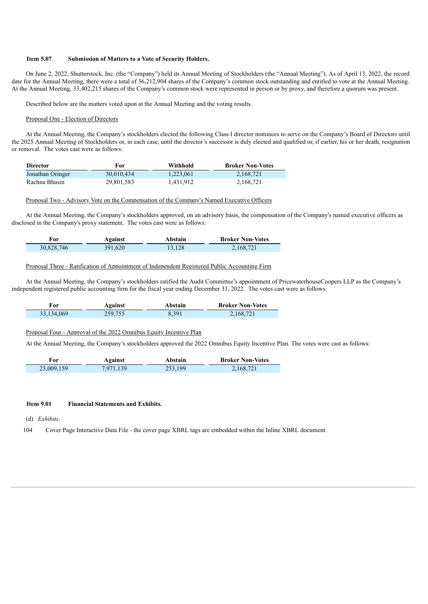#### **Item 5.07 Submission of Matters to a Vote of Security Holders.**

On June 2, 2022, Shutterstock, Inc. (the "Company") held its Annual Meeting of Stockholders (the "Annual Meeting"). As of April 13, 2022, the record date for the Annual Meeting, there were a total of 36,212,904 shares of the Company's common stock outstanding and entitled to vote at the Annual Meeting. At the Annual Meeting, 33,402,215 shares of the Company's common stock were represented in person or by proxy, and therefore a quorum was present.

Described below are the matters voted upon at the Annual Meeting and the voting results.

#### Proposal One - Election of Directors

At the Annual Meeting, the Company's stockholders elected the following Class I director nominees to serve on the Company's Board of Directors until the 2025 Annual Meeting of Stockholders or, in each case, until the director's successor is duly elected and qualified or, if earlier, his or her death, resignation or removal. The votes cast were as follows:

| <b>Director</b>  | For        | Withhold  | <b>Broker Non-Votes</b> |
|------------------|------------|-----------|-------------------------|
| Jonathan Oringer | 30.010.434 | 1.223.061 | 2,168,721               |
| Rachna Bhasin    | 29,801,583 | 1,431,912 | 2,168,721               |

#### Proposal Two - Advisory Vote on the Compensation of the Company's Named Executive Officers

At the Annual Meeting, the Company's stockholders approved, on an advisory basis, the compensation of the Company's named executive officers as disclosed in the Company's proxy statement. The votes cast were as follows:

| ror        | Against | Abstain | <b>Broker Non-Votes</b> |
|------------|---------|---------|-------------------------|
| 30,828,746 | 391,620 | 13.128  | 2,168,721               |

#### Proposal Three - Ratification of Appointment of Independent Registered Public Accounting Firm

At the Annual Meeting, the Company's stockholders ratified the Audit Committee's appointment of PricewaterhouseCoopers LLP as the Company's independent registered public accounting firm for the fiscal year ending December 31, 2022. The votes cast were as follows:

| For          | Against | Abstain | <b>Broker Non-Votes</b> |
|--------------|---------|---------|-------------------------|
| 33, 134, 069 | 259,755 | 8,391   | 2,168,721               |

#### Proposal Four - Approval of the 2022 Omnibus Equity Incentive Plan

At the Annual Meeting, the Company's stockholders approved the 2022 Omnibus Equity Incentive Plan. The votes were cast as follows:

| For        | Against   | Abstain | <b>Broker Non-Votes</b> |
|------------|-----------|---------|-------------------------|
| 23,009,159 | 7,971,139 | 253,199 | 2,168,721               |

#### **Item 9.01 Financial Statements and Exhibits.**

(d) *Exhibits*.

j

Ī

104 Cover Page Interactive Data File - the cover page XBRL tags are embedded within the Inline XBRL document.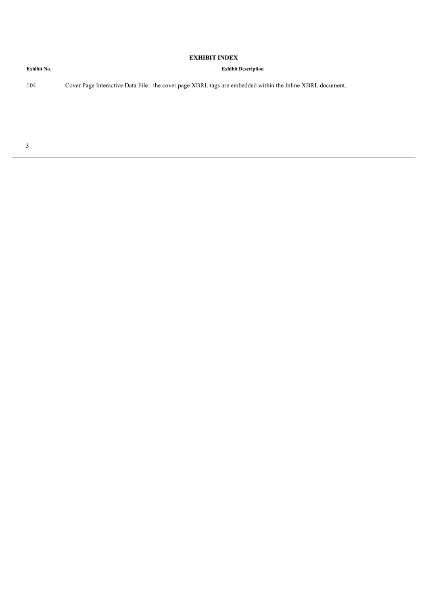| Exhibit No. | <b>Exhibit Description</b>                                                                                |  |
|-------------|-----------------------------------------------------------------------------------------------------------|--|
| 104         | Cover Page Interactive Data File - the cover page XBRL tags are embedded within the Inline XBRL document. |  |
|             |                                                                                                           |  |
|             |                                                                                                           |  |
|             |                                                                                                           |  |

**EXHIBIT INDEX**